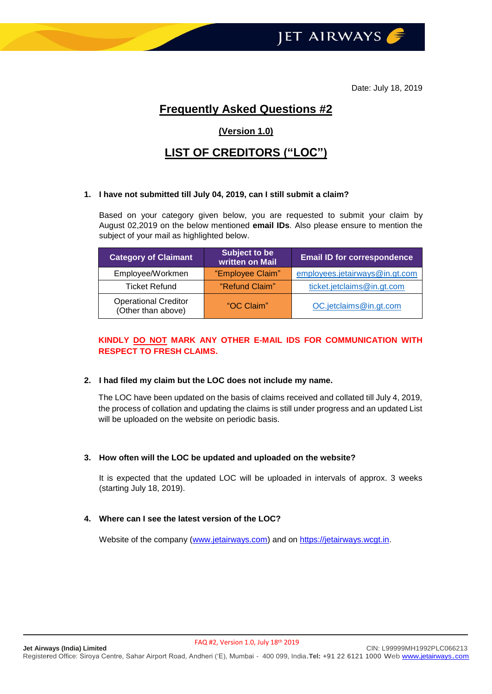

Date: July 18, 2019

# **Frequently Asked Questions #2**

# **(Version 1.0)**

# **LIST OF CREDITORS ("LOC")**

#### **1. I have not submitted till July 04, 2019, can I still submit a claim?**

Based on your category given below, you are requested to submit your claim by August 02,2019 on the below mentioned **email IDs**. Also please ensure to mention the subject of your mail as highlighted below.

| <b>Category of Claimant</b>                       | Subject to be<br>written on Mail | <b>Email ID for correspondence</b> |
|---------------------------------------------------|----------------------------------|------------------------------------|
| Employee/Workmen                                  | "Employee Claim"                 | employees.jetairways@in.gt.com     |
| <b>Ticket Refund</b>                              | "Refund Claim"                   | ticket.jetclaims@in.gt.com         |
| <b>Operational Creditor</b><br>(Other than above) | "OC Claim"                       | OC.jetclaims@in.gt.com             |

# **KINDLY DO NOT MARK ANY OTHER E-MAIL IDS FOR COMMUNICATION WITH RESPECT TO FRESH CLAIMS.**

#### **2. I had filed my claim but the LOC does not include my name.**

The LOC have been updated on the basis of claims received and collated till July 4, 2019, the process of collation and updating the claims is still under progress and an updated List will be uploaded on the website on periodic basis.

#### **3. How often will the LOC be updated and uploaded on the website?**

It is expected that the updated LOC will be uploaded in intervals of approx. 3 weeks (starting July 18, 2019).

# **4. Where can I see the latest version of the LOC?**

Website of the company [\(www.jetairways.com\)](http://www.jetairways.com/) and on [https://jetairways.wcgt.in.](https://jetairways.wcgt.in/)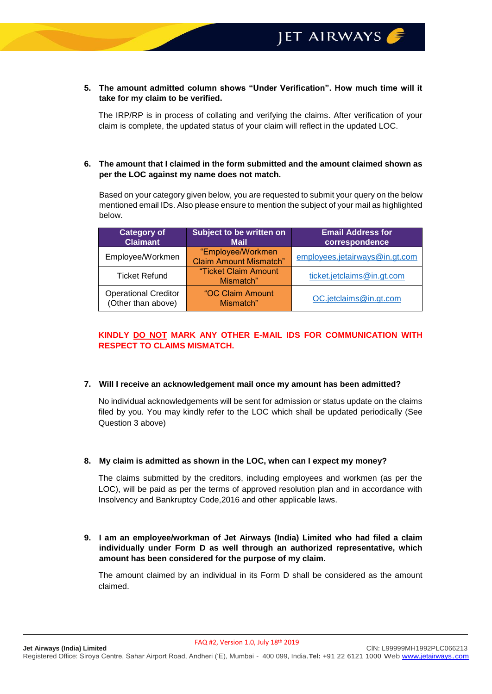#### **5. The amount admitted column shows "Under Verification". How much time will it take for my claim to be verified.**

The IRP/RP is in process of collating and verifying the claims. After verification of your claim is complete, the updated status of your claim will reflect in the updated LOC.

## **6. The amount that I claimed in the form submitted and the amount claimed shown as per the LOC against my name does not match.**

Based on your category given below, you are requested to submit your query on the below mentioned email IDs. Also please ensure to mention the subject of your mail as highlighted below.

| <b>Category of</b><br><b>Claimant</b>             | Subject to be written on<br><b>Mail</b>            | <b>Email Address for</b><br>correspondence |
|---------------------------------------------------|----------------------------------------------------|--------------------------------------------|
| Employee/Workmen                                  | "Employee/Workmen<br><b>Claim Amount Mismatch"</b> | employees.jetairways@in.gt.com             |
| <b>Ticket Refund</b>                              | "Ticket Claim Amount<br>Mismatch"                  | ticket.jetclaims@in.gt.com                 |
| <b>Operational Creditor</b><br>(Other than above) | "OC Claim Amount<br>Mismatch"                      | OC.jetclaims@in.gt.com                     |

## **KINDLY DO NOT MARK ANY OTHER E-MAIL IDS FOR COMMUNICATION WITH RESPECT TO CLAIMS MISMATCH.**

## **7. Will I receive an acknowledgement mail once my amount has been admitted?**

No individual acknowledgements will be sent for admission or status update on the claims filed by you. You may kindly refer to the LOC which shall be updated periodically (See Question 3 above)

## **8. My claim is admitted as shown in the LOC, when can I expect my money?**

The claims submitted by the creditors, including employees and workmen (as per the LOC), will be paid as per the terms of approved resolution plan and in accordance with Insolvency and Bankruptcy Code,2016 and other applicable laws.

**9. I am an employee/workman of Jet Airways (India) Limited who had filed a claim individually under Form D as well through an authorized representative, which amount has been considered for the purpose of my claim.**

The amount claimed by an individual in its Form D shall be considered as the amount claimed.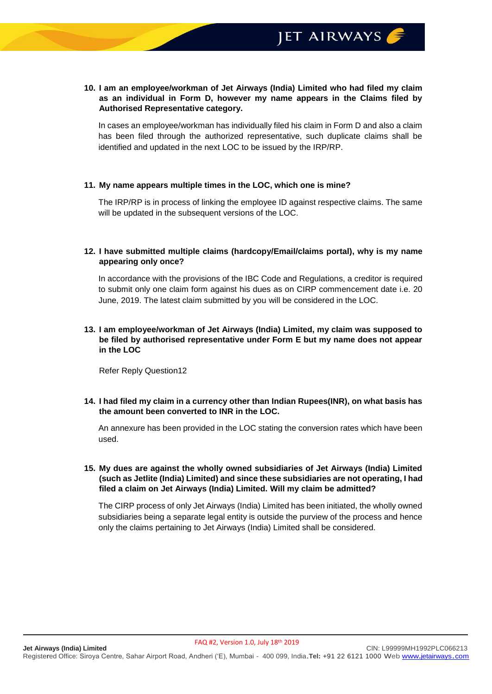## **10. I am an employee/workman of Jet Airways (India) Limited who had filed my claim as an individual in Form D, however my name appears in the Claims filed by Authorised Representative category.**

In cases an employee/workman has individually filed his claim in Form D and also a claim has been filed through the authorized representative, such duplicate claims shall be identified and updated in the next LOC to be issued by the IRP/RP.

## **11. My name appears multiple times in the LOC, which one is mine?**

The IRP/RP is in process of linking the employee ID against respective claims. The same will be updated in the subsequent versions of the LOC.

## **12. I have submitted multiple claims (hardcopy/Email/claims portal), why is my name appearing only once?**

In accordance with the provisions of the IBC Code and Regulations, a creditor is required to submit only one claim form against his dues as on CIRP commencement date i.e. 20 June, 2019. The latest claim submitted by you will be considered in the LOC.

## **13. I am employee/workman of Jet Airways (India) Limited, my claim was supposed to be filed by authorised representative under Form E but my name does not appear in the LOC**

Refer Reply Question12

## **14. I had filed my claim in a currency other than Indian Rupees(INR), on what basis has the amount been converted to INR in the LOC.**

An annexure has been provided in the LOC stating the conversion rates which have been used.

## **15. My dues are against the wholly owned subsidiaries of Jet Airways (India) Limited (such as Jetlite (India) Limited) and since these subsidiaries are not operating, I had filed a claim on Jet Airways (India) Limited. Will my claim be admitted?**

The CIRP process of only Jet Airways (India) Limited has been initiated, the wholly owned subsidiaries being a separate legal entity is outside the purview of the process and hence only the claims pertaining to Jet Airways (India) Limited shall be considered.